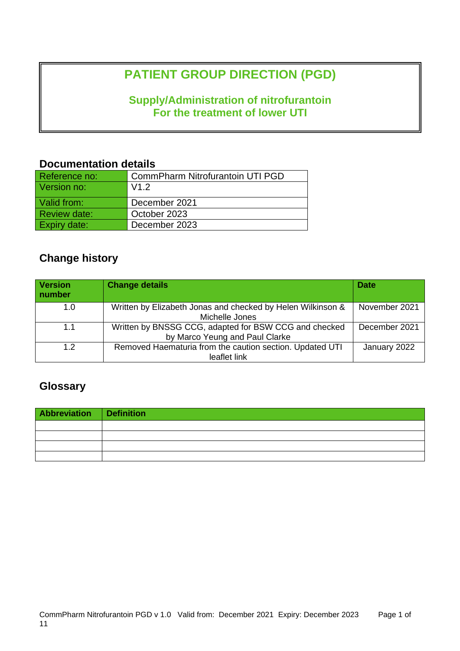# **PATIENT GROUP DIRECTION (PGD)**

## **Supply/Administration of nitrofurantoin For the treatment of lower UTI**

## **Documentation details**

| Reference no:       | CommPharm Nitrofurantoin UTI PGD |
|---------------------|----------------------------------|
| Version no:         | V1.2                             |
| Valid from:         | December 2021                    |
| <b>Review date:</b> | October 2023                     |
| <b>Expiry date:</b> | December 2023                    |

## **Change history**

| <b>Version</b><br>number | <b>Change details</b>                                                                   | <b>Date</b>   |
|--------------------------|-----------------------------------------------------------------------------------------|---------------|
| 1.0                      | Written by Elizabeth Jonas and checked by Helen Wilkinson &<br>Michelle Jones           | November 2021 |
| 1.1                      | Written by BNSSG CCG, adapted for BSW CCG and checked<br>by Marco Yeung and Paul Clarke | December 2021 |
| 1.2                      | Removed Haematuria from the caution section. Updated UTI<br>leaflet link                | January 2022  |

## **Glossary**

| Abbreviation Definition |  |
|-------------------------|--|
|                         |  |
|                         |  |
|                         |  |
|                         |  |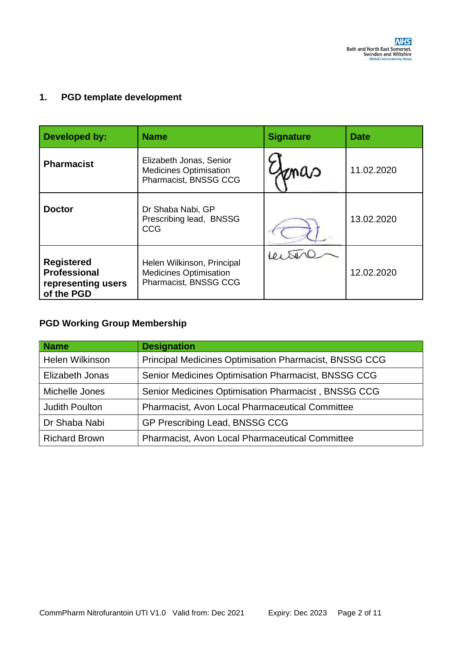## **1. PGD template development**

| Developed by:                                                                | <b>Name</b>                                                                          | <b>Signature</b> | <b>Date</b> |
|------------------------------------------------------------------------------|--------------------------------------------------------------------------------------|------------------|-------------|
| <b>Pharmacist</b>                                                            | Elizabeth Jonas, Senior<br><b>Medicines Optimisation</b><br>Pharmacist, BNSSG CCG    | maa              | 11.02.2020  |
| <b>Doctor</b>                                                                | Dr Shaba Nabi, GP<br>Prescribing lead, BNSSG<br><b>CCG</b>                           |                  | 13.02.2020  |
| <b>Registered</b><br><b>Professional</b><br>representing users<br>of the PGD | Helen Wilkinson, Principal<br><b>Medicines Optimisation</b><br>Pharmacist, BNSSG CCG |                  | 12.02.2020  |

## **PGD Working Group Membership**

| <b>Name</b>           | <b>Designation</b>                                            |
|-----------------------|---------------------------------------------------------------|
| Helen Wilkinson       | <b>Principal Medicines Optimisation Pharmacist, BNSSG CCG</b> |
| Elizabeth Jonas       | Senior Medicines Optimisation Pharmacist, BNSSG CCG           |
| Michelle Jones        | Senior Medicines Optimisation Pharmacist, BNSSG CCG           |
| <b>Judith Poulton</b> | <b>Pharmacist, Avon Local Pharmaceutical Committee</b>        |
| Dr Shaba Nabi         | GP Prescribing Lead, BNSSG CCG                                |
| <b>Richard Brown</b>  | <b>Pharmacist, Avon Local Pharmaceutical Committee</b>        |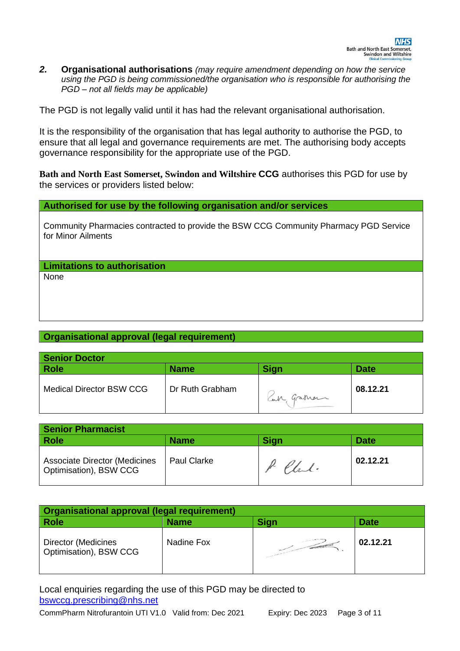$2<sub>1</sub>$ *2.* **Organisational authorisations** *(may require amendment depending on how the service using the PGD is being commissioned/the organisation who is responsible for authorising the PGD – not all fields may be applicable)* 

The PGD is not legally valid until it has had the relevant organisational authorisation.

It is the responsibility of the organisation that has legal authority to authorise the PGD, to ensure that all legal and governance requirements are met. The authorising body accepts governance responsibility for the appropriate use of the PGD.

**Bath and North East Somerset, Swindon and Wiltshire CCG** authorises this PGD for use by the services or providers listed below:

### **Authorised for use by the following organisation and/or services**

Community Pharmacies contracted to provide the BSW CCG Community Pharmacy PGD Service for Minor Ailments

**Limitations to authorisation**

None

## **Organisational approval (legal requirement)**

| <b>Senior Doctor</b>            |                 |             |             |
|---------------------------------|-----------------|-------------|-------------|
| <b>Role</b>                     | <b>Name</b>     | <b>Sign</b> | <b>Date</b> |
| <b>Medical Director BSW CCG</b> | Dr Ruth Grabham | Car Graham  | 08.12.21    |

| <b>Senior Pharmacist</b>                                       |                    |             |             |
|----------------------------------------------------------------|--------------------|-------------|-------------|
| Role                                                           | <b>Name</b>        | <b>Sign</b> | <b>Date</b> |
| <b>Associate Director (Medicines</b><br>Optimisation), BSW CCG | <b>Paul Clarke</b> | Chal.       | 02.12.21    |

| Organisational approval (legal requirement)   |             |                   |             |
|-----------------------------------------------|-------------|-------------------|-------------|
| <b>Role</b>                                   | <b>Name</b> | <b>Sign</b>       | <b>Date</b> |
| Director (Medicines<br>Optimisation), BSW CCG | Nadine Fox  | <b>CONTRACTOR</b> | 02.12.21    |

Local enquiries regarding the use of this PGD may be directed to [bswccg.prescribing@nhs.net](mailto:bswccg.prescribing@nhs.net)

CommPharm Nitrofurantoin UTI V1.0 Valid from: Dec 2021 Expiry: Dec 2023 Page 3 of 11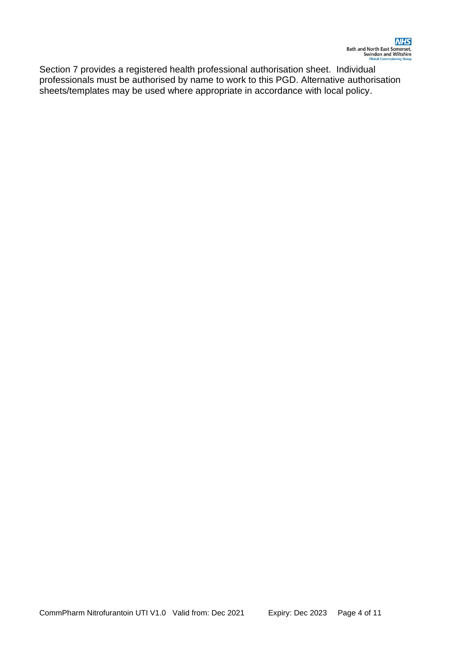Section 7 provides a registered health professional authorisation sheet. Individual professionals must be authorised by name to work to this PGD. Alternative authorisation sheets/templates may be used where appropriate in accordance with local policy.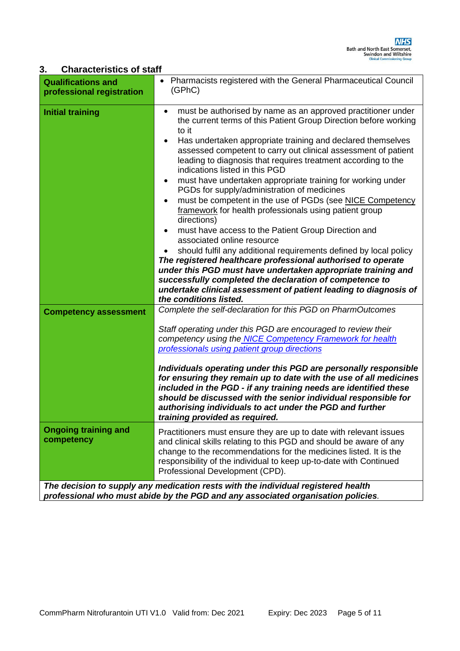## **3. Characteristics of staff**

| <b>Qualifications and</b><br>professional registration | Pharmacists registered with the General Pharmaceutical Council<br>(GPhC)                                                                                                                                                                                                                                                                                                                                                                                                                                                                                                                                                                                                                                                                                                                                                                                                                                                                                                                                                                                                                                                      |
|--------------------------------------------------------|-------------------------------------------------------------------------------------------------------------------------------------------------------------------------------------------------------------------------------------------------------------------------------------------------------------------------------------------------------------------------------------------------------------------------------------------------------------------------------------------------------------------------------------------------------------------------------------------------------------------------------------------------------------------------------------------------------------------------------------------------------------------------------------------------------------------------------------------------------------------------------------------------------------------------------------------------------------------------------------------------------------------------------------------------------------------------------------------------------------------------------|
| <b>Initial training</b>                                | must be authorised by name as an approved practitioner under<br>٠<br>the current terms of this Patient Group Direction before working<br>to it<br>Has undertaken appropriate training and declared themselves<br>$\bullet$<br>assessed competent to carry out clinical assessment of patient<br>leading to diagnosis that requires treatment according to the<br>indications listed in this PGD<br>must have undertaken appropriate training for working under<br>٠<br>PGDs for supply/administration of medicines<br>must be competent in the use of PGDs (see NICE Competency<br>$\bullet$<br>framework for health professionals using patient group<br>directions)<br>must have access to the Patient Group Direction and<br>٠<br>associated online resource<br>should fulfil any additional requirements defined by local policy<br>The registered healthcare professional authorised to operate<br>under this PGD must have undertaken appropriate training and<br>successfully completed the declaration of competence to<br>undertake clinical assessment of patient leading to diagnosis of<br>the conditions listed. |
| <b>Competency assessment</b>                           | Complete the self-declaration for this PGD on PharmOutcomes<br>Staff operating under this PGD are encouraged to review their<br>competency using the NICE Competency Framework for health<br>professionals using patient group directions<br>Individuals operating under this PGD are personally responsible<br>for ensuring they remain up to date with the use of all medicines<br>included in the PGD - if any training needs are identified these<br>should be discussed with the senior individual responsible for<br>authorising individuals to act under the PGD and further<br>training provided as required.                                                                                                                                                                                                                                                                                                                                                                                                                                                                                                         |
| <b>Ongoing training and</b><br>competency              | Practitioners must ensure they are up to date with relevant issues<br>and clinical skills relating to this PGD and should be aware of any<br>change to the recommendations for the medicines listed. It is the<br>responsibility of the individual to keep up-to-date with Continued<br>Professional Development (CPD).                                                                                                                                                                                                                                                                                                                                                                                                                                                                                                                                                                                                                                                                                                                                                                                                       |
|                                                        | The decision to supply any medication rests with the individual registered health                                                                                                                                                                                                                                                                                                                                                                                                                                                                                                                                                                                                                                                                                                                                                                                                                                                                                                                                                                                                                                             |

*professional who must abide by the PGD and any associated organisation policies.*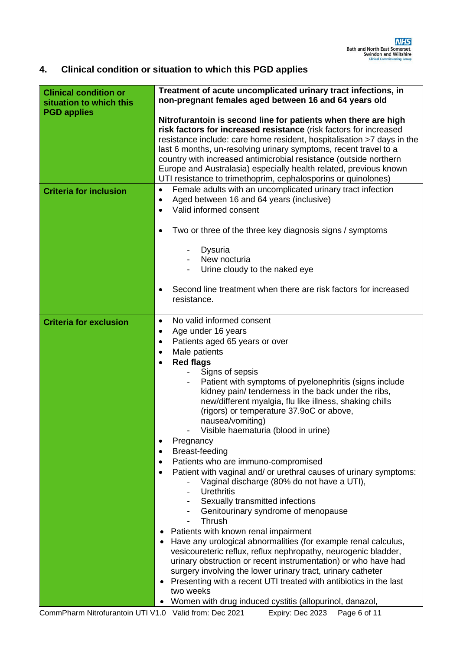#### 4. **4. Clinical condition or situation to which this PGD applies**

| <b>Clinical condition or</b><br>situation to which this<br><b>PGD applies</b> | Treatment of acute uncomplicated urinary tract infections, in<br>non-pregnant females aged between 16 and 64 years old                                                                                                                                                                                                                                                                                                                                                                                                                                                                                                                                                                                                                                                                                                                                                                                                                                                                                                                                                                                                                                                                                                                                                                                          |  |
|-------------------------------------------------------------------------------|-----------------------------------------------------------------------------------------------------------------------------------------------------------------------------------------------------------------------------------------------------------------------------------------------------------------------------------------------------------------------------------------------------------------------------------------------------------------------------------------------------------------------------------------------------------------------------------------------------------------------------------------------------------------------------------------------------------------------------------------------------------------------------------------------------------------------------------------------------------------------------------------------------------------------------------------------------------------------------------------------------------------------------------------------------------------------------------------------------------------------------------------------------------------------------------------------------------------------------------------------------------------------------------------------------------------|--|
|                                                                               | Nitrofurantoin is second line for patients when there are high<br>risk factors for increased resistance (risk factors for increased<br>resistance include: care home resident, hospitalisation >7 days in the<br>last 6 months, un-resolving urinary symptoms, recent travel to a<br>country with increased antimicrobial resistance (outside northern<br>Europe and Australasia) especially health related, previous known<br>UTI resistance to trimethoprim, cephalosporins or quinolones)                                                                                                                                                                                                                                                                                                                                                                                                                                                                                                                                                                                                                                                                                                                                                                                                                    |  |
| <b>Criteria for inclusion</b>                                                 | Female adults with an uncomplicated urinary tract infection<br>$\bullet$<br>Aged between 16 and 64 years (inclusive)<br>$\bullet$<br>Valid informed consent<br>$\bullet$                                                                                                                                                                                                                                                                                                                                                                                                                                                                                                                                                                                                                                                                                                                                                                                                                                                                                                                                                                                                                                                                                                                                        |  |
|                                                                               | Two or three of the three key diagnosis signs / symptoms<br>٠                                                                                                                                                                                                                                                                                                                                                                                                                                                                                                                                                                                                                                                                                                                                                                                                                                                                                                                                                                                                                                                                                                                                                                                                                                                   |  |
|                                                                               | Dysuria<br>$\overline{\phantom{a}}$<br>New nocturia<br>Urine cloudy to the naked eye                                                                                                                                                                                                                                                                                                                                                                                                                                                                                                                                                                                                                                                                                                                                                                                                                                                                                                                                                                                                                                                                                                                                                                                                                            |  |
|                                                                               | Second line treatment when there are risk factors for increased<br>$\bullet$<br>resistance.                                                                                                                                                                                                                                                                                                                                                                                                                                                                                                                                                                                                                                                                                                                                                                                                                                                                                                                                                                                                                                                                                                                                                                                                                     |  |
| <b>Criteria for exclusion</b>                                                 | No valid informed consent<br>$\bullet$<br>Age under 16 years<br>$\bullet$<br>Patients aged 65 years or over<br>$\bullet$<br>Male patients<br>$\bullet$<br><b>Red flags</b><br>$\bullet$<br>Signs of sepsis<br>Patient with symptoms of pyelonephritis (signs include<br>kidney pain/ tenderness in the back under the ribs,<br>new/different myalgia, flu like illness, shaking chills<br>(rigors) or temperature 37.9oC or above,<br>nausea/vomiting)<br>Visible haematuria (blood in urine)<br>Pregnancy<br>$\bullet$<br>Breast-feeding<br>$\bullet$<br>Patients who are immuno-compromised<br>٠<br>Patient with vaginal and/ or urethral causes of urinary symptoms:<br>$\bullet$<br>Vaginal discharge (80% do not have a UTI),<br><b>Urethritis</b><br>Sexually transmitted infections<br>Genitourinary syndrome of menopause<br>Thrush<br>Patients with known renal impairment<br>Have any urological abnormalities (for example renal calculus,<br>٠<br>vesicoureteric reflux, reflux nephropathy, neurogenic bladder,<br>urinary obstruction or recent instrumentation) or who have had<br>surgery involving the lower urinary tract, urinary catheter<br>Presenting with a recent UTI treated with antibiotics in the last<br>٠<br>two weeks<br>Women with drug induced cystitis (allopurinol, danazol, |  |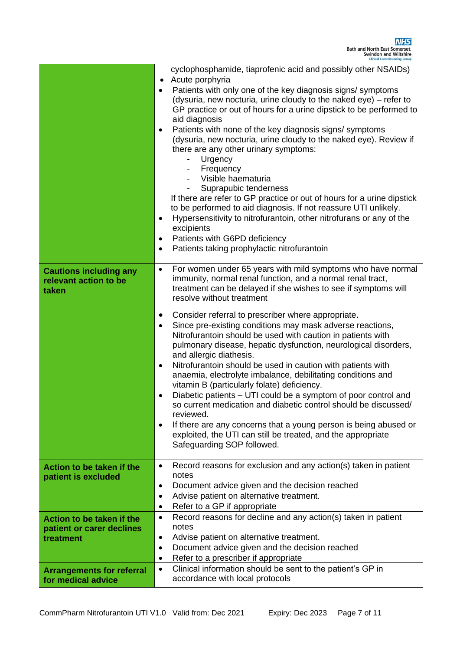|                                                                     | <b>Clinical Commissioning Group</b>                                                                                                                                                                                                                                                                                                                                                                                                                                                                                                                                                                                                                                                                                                                                                                                                                                                                                                                                                                                                                                             |
|---------------------------------------------------------------------|---------------------------------------------------------------------------------------------------------------------------------------------------------------------------------------------------------------------------------------------------------------------------------------------------------------------------------------------------------------------------------------------------------------------------------------------------------------------------------------------------------------------------------------------------------------------------------------------------------------------------------------------------------------------------------------------------------------------------------------------------------------------------------------------------------------------------------------------------------------------------------------------------------------------------------------------------------------------------------------------------------------------------------------------------------------------------------|
|                                                                     | cyclophosphamide, tiaprofenic acid and possibly other NSAIDs)<br>Acute porphyria<br>Patients with only one of the key diagnosis signs/ symptoms<br>$\bullet$<br>(dysuria, new nocturia, urine cloudy to the naked eye) – refer to<br>GP practice or out of hours for a urine dipstick to be performed to<br>aid diagnosis<br>Patients with none of the key diagnosis signs/symptoms<br>$\bullet$<br>(dysuria, new nocturia, urine cloudy to the naked eye). Review if<br>there are any other urinary symptoms:<br>Urgency<br>Frequency<br>Visible haematuria<br>Suprapubic tenderness<br>If there are refer to GP practice or out of hours for a urine dipstick<br>to be performed to aid diagnosis. If not reassure UTI unlikely.<br>Hypersensitivity to nitrofurantoin, other nitrofurans or any of the<br>$\bullet$<br>excipients<br>Patients with G6PD deficiency<br>$\bullet$<br>Patients taking prophylactic nitrofurantoin<br>$\bullet$                                                                                                                                  |
| <b>Cautions including any</b><br>relevant action to be<br>taken     | For women under 65 years with mild symptoms who have normal<br>$\bullet$<br>immunity, normal renal function, and a normal renal tract,<br>treatment can be delayed if she wishes to see if symptoms will<br>resolve without treatment<br>Consider referral to prescriber where appropriate.<br>٠<br>Since pre-existing conditions may mask adverse reactions,<br>$\bullet$<br>Nitrofurantoin should be used with caution in patients with<br>pulmonary disease, hepatic dysfunction, neurological disorders,<br>and allergic diathesis.<br>Nitrofurantoin should be used in caution with patients with<br>$\bullet$<br>anaemia, electrolyte imbalance, debilitating conditions and<br>vitamin B (particularly folate) deficiency.<br>Diabetic patients – UTI could be a symptom of poor control and<br>$\bullet$<br>so current medication and diabetic control should be discussed/<br>reviewed.<br>If there are any concerns that a young person is being abused or<br>$\bullet$<br>exploited, the UTI can still be treated, and the appropriate<br>Safeguarding SOP followed. |
| Action to be taken if the<br>patient is excluded                    | Record reasons for exclusion and any action(s) taken in patient<br>$\bullet$<br>notes<br>Document advice given and the decision reached<br>$\bullet$<br>Advise patient on alternative treatment.<br>$\bullet$<br>Refer to a GP if appropriate<br>$\bullet$                                                                                                                                                                                                                                                                                                                                                                                                                                                                                                                                                                                                                                                                                                                                                                                                                      |
| Action to be taken if the<br>patient or carer declines<br>treatment | Record reasons for decline and any action(s) taken in patient<br>$\bullet$<br>notes<br>Advise patient on alternative treatment.<br>$\bullet$<br>Document advice given and the decision reached<br>$\bullet$<br>Refer to a prescriber if appropriate<br>$\bullet$                                                                                                                                                                                                                                                                                                                                                                                                                                                                                                                                                                                                                                                                                                                                                                                                                |
| <b>Arrangements for referral</b><br>for medical advice              | Clinical information should be sent to the patient's GP in<br>$\bullet$<br>accordance with local protocols                                                                                                                                                                                                                                                                                                                                                                                                                                                                                                                                                                                                                                                                                                                                                                                                                                                                                                                                                                      |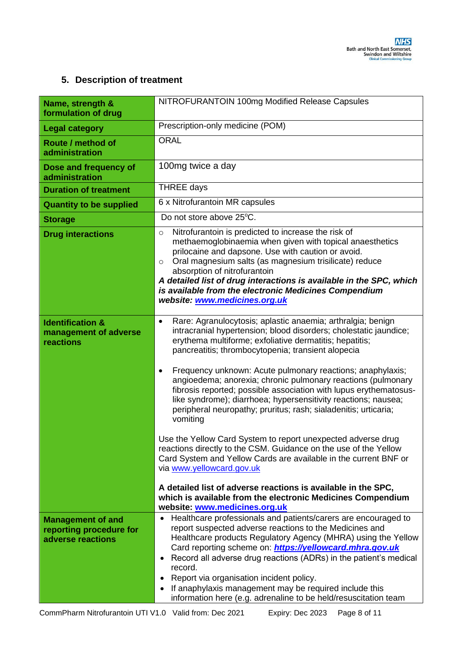## **5. Description of treatment**

| Name, strength &<br>formulation of drug                                  | NITROFURANTOIN 100mg Modified Release Capsules                                                                                                                                                                                                                                                                                                                                                                                                                                                                                                                                                                                                                                                                                                                                                                                                                                                                                                                                                                                        |
|--------------------------------------------------------------------------|---------------------------------------------------------------------------------------------------------------------------------------------------------------------------------------------------------------------------------------------------------------------------------------------------------------------------------------------------------------------------------------------------------------------------------------------------------------------------------------------------------------------------------------------------------------------------------------------------------------------------------------------------------------------------------------------------------------------------------------------------------------------------------------------------------------------------------------------------------------------------------------------------------------------------------------------------------------------------------------------------------------------------------------|
| <b>Legal category</b>                                                    | Prescription-only medicine (POM)                                                                                                                                                                                                                                                                                                                                                                                                                                                                                                                                                                                                                                                                                                                                                                                                                                                                                                                                                                                                      |
| Route / method of<br>administration                                      | <b>ORAL</b>                                                                                                                                                                                                                                                                                                                                                                                                                                                                                                                                                                                                                                                                                                                                                                                                                                                                                                                                                                                                                           |
| Dose and frequency of<br>administration                                  | 100mg twice a day                                                                                                                                                                                                                                                                                                                                                                                                                                                                                                                                                                                                                                                                                                                                                                                                                                                                                                                                                                                                                     |
| <b>Duration of treatment</b>                                             | <b>THREE days</b>                                                                                                                                                                                                                                                                                                                                                                                                                                                                                                                                                                                                                                                                                                                                                                                                                                                                                                                                                                                                                     |
| <b>Quantity to be supplied</b>                                           | 6 x Nitrofurantoin MR capsules                                                                                                                                                                                                                                                                                                                                                                                                                                                                                                                                                                                                                                                                                                                                                                                                                                                                                                                                                                                                        |
| <b>Storage</b>                                                           | Do not store above 25°C.                                                                                                                                                                                                                                                                                                                                                                                                                                                                                                                                                                                                                                                                                                                                                                                                                                                                                                                                                                                                              |
| <b>Drug interactions</b>                                                 | Nitrofurantoin is predicted to increase the risk of<br>$\circ$<br>methaemoglobinaemia when given with topical anaesthetics<br>prilocaine and dapsone. Use with caution or avoid.<br>Oral magnesium salts (as magnesium trisilicate) reduce<br>$\circ$<br>absorption of nitrofurantoin<br>A detailed list of drug interactions is available in the SPC, which<br>is available from the electronic Medicines Compendium<br>website: www.medicines.org.uk                                                                                                                                                                                                                                                                                                                                                                                                                                                                                                                                                                                |
| <b>Identification &amp;</b><br>management of adverse<br>reactions        | Rare: Agranulocytosis; aplastic anaemia; arthralgia; benign<br>$\bullet$<br>intracranial hypertension; blood disorders; cholestatic jaundice;<br>erythema multiforme; exfoliative dermatitis; hepatitis;<br>pancreatitis; thrombocytopenia; transient alopecia<br>Frequency unknown: Acute pulmonary reactions; anaphylaxis;<br>$\bullet$<br>angioedema; anorexia; chronic pulmonary reactions (pulmonary<br>fibrosis reported; possible association with lupus erythematosus-<br>like syndrome); diarrhoea; hypersensitivity reactions; nausea;<br>peripheral neuropathy; pruritus; rash; sialadenitis; urticaria;<br>vomiting<br>Use the Yellow Card System to report unexpected adverse drug<br>reactions directly to the CSM. Guidance on the use of the Yellow<br>Card System and Yellow Cards are available in the current BNF or<br>via www.yellowcard.gov.uk<br>A detailed list of adverse reactions is available in the SPC,<br>which is available from the electronic Medicines Compendium<br>website: www.medicines.org.uk |
| <b>Management of and</b><br>reporting procedure for<br>adverse reactions | Healthcare professionals and patients/carers are encouraged to<br>report suspected adverse reactions to the Medicines and<br>Healthcare products Regulatory Agency (MHRA) using the Yellow<br>Card reporting scheme on: <b>https://yellowcard.mhra.gov.uk</b><br>Record all adverse drug reactions (ADRs) in the patient's medical<br>record.<br>Report via organisation incident policy.<br>If anaphylaxis management may be required include this<br>information here (e.g. adrenaline to be held/resuscitation team                                                                                                                                                                                                                                                                                                                                                                                                                                                                                                                |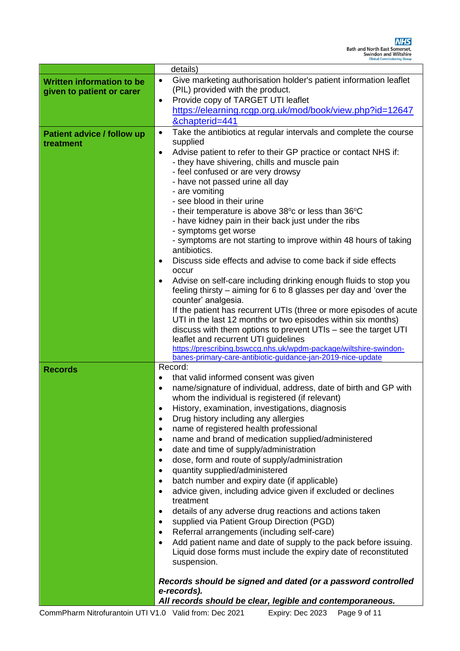|                                   | <b>Clinical Commissioning Group</b>                                            |  |  |  |  |
|-----------------------------------|--------------------------------------------------------------------------------|--|--|--|--|
|                                   | details)                                                                       |  |  |  |  |
| <b>Written information to be</b>  | Give marketing authorisation holder's patient information leaflet<br>$\bullet$ |  |  |  |  |
| given to patient or carer         | (PIL) provided with the product.                                               |  |  |  |  |
|                                   | Provide copy of TARGET UTI leaflet<br>$\bullet$                                |  |  |  |  |
|                                   | https://elearning.rcgp.org.uk/mod/book/view.php?id=12647                       |  |  |  |  |
|                                   | &chapterid=441                                                                 |  |  |  |  |
| <b>Patient advice / follow up</b> | Take the antibiotics at regular intervals and complete the course<br>٠         |  |  |  |  |
| treatment                         | supplied                                                                       |  |  |  |  |
|                                   | Advise patient to refer to their GP practice or contact NHS if:<br>$\bullet$   |  |  |  |  |
|                                   | - they have shivering, chills and muscle pain                                  |  |  |  |  |
|                                   | - feel confused or are very drowsy                                             |  |  |  |  |
|                                   | - have not passed urine all day                                                |  |  |  |  |
|                                   | - are vomiting<br>- see blood in their urine                                   |  |  |  |  |
|                                   | - their temperature is above 38 $\degree$ c or less than 36 $\degree$ C        |  |  |  |  |
|                                   | - have kidney pain in their back just under the ribs                           |  |  |  |  |
|                                   | - symptoms get worse                                                           |  |  |  |  |
|                                   | - symptoms are not starting to improve within 48 hours of taking               |  |  |  |  |
|                                   | antibiotics.                                                                   |  |  |  |  |
|                                   | Discuss side effects and advise to come back if side effects<br>$\bullet$      |  |  |  |  |
|                                   | occur                                                                          |  |  |  |  |
|                                   | Advise on self-care including drinking enough fluids to stop you<br>$\bullet$  |  |  |  |  |
|                                   | feeling thirsty – aiming for 6 to 8 glasses per day and 'over the              |  |  |  |  |
|                                   | counter' analgesia.                                                            |  |  |  |  |
|                                   | If the patient has recurrent UTIs (three or more episodes of acute             |  |  |  |  |
|                                   | UTI in the last 12 months or two episodes within six months)                   |  |  |  |  |
|                                   | discuss with them options to prevent UTIs - see the target UTI                 |  |  |  |  |
|                                   | leaflet and recurrent UTI guidelines                                           |  |  |  |  |
|                                   | https://prescribing.bswccg.nhs.uk/wpdm-package/wiltshire-swindon-              |  |  |  |  |
|                                   | banes-primary-care-antibiotic-guidance-jan-2019-nice-update                    |  |  |  |  |
| <b>Records</b>                    | Record:                                                                        |  |  |  |  |
|                                   | that valid informed consent was given<br>٠                                     |  |  |  |  |
|                                   | name/signature of individual, address, date of birth and GP with<br>$\bullet$  |  |  |  |  |
|                                   | whom the individual is registered (if relevant)                                |  |  |  |  |
|                                   | History, examination, investigations, diagnosis<br>$\bullet$                   |  |  |  |  |
|                                   | Drug history including any allergies                                           |  |  |  |  |
|                                   | name of registered health professional                                         |  |  |  |  |
|                                   | name and brand of medication supplied/administered<br>$\bullet$                |  |  |  |  |
|                                   | date and time of supply/administration<br>$\bullet$                            |  |  |  |  |
|                                   | dose, form and route of supply/administration<br>$\bullet$                     |  |  |  |  |
|                                   | quantity supplied/administered<br>$\bullet$                                    |  |  |  |  |
|                                   | batch number and expiry date (if applicable)<br>$\bullet$                      |  |  |  |  |
|                                   | advice given, including advice given if excluded or declines<br>$\bullet$      |  |  |  |  |
|                                   | treatment                                                                      |  |  |  |  |
|                                   | details of any adverse drug reactions and actions taken<br>$\bullet$           |  |  |  |  |
|                                   | supplied via Patient Group Direction (PGD)<br>$\bullet$                        |  |  |  |  |
|                                   | Referral arrangements (including self-care)<br>$\bullet$                       |  |  |  |  |
|                                   | Add patient name and date of supply to the pack before issuing.<br>$\bullet$   |  |  |  |  |
|                                   | Liquid dose forms must include the expiry date of reconstituted                |  |  |  |  |
|                                   | suspension.                                                                    |  |  |  |  |
|                                   |                                                                                |  |  |  |  |
|                                   | Records should be signed and dated (or a password controlled<br>e-records).    |  |  |  |  |
|                                   | All records should be clear, legible and contemporaneous.                      |  |  |  |  |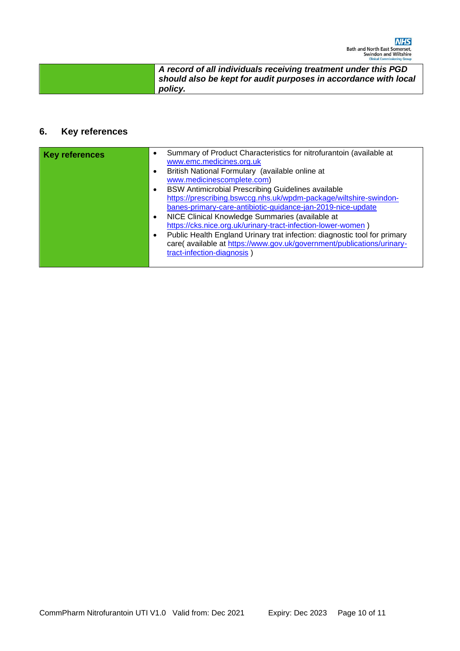| <b>Clinical Commissioning Group</b>                             |
|-----------------------------------------------------------------|
| A record of all individuals receiving treatment under this PGD  |
| should also be kept for audit purposes in accordance with local |
| policy.                                                         |

## **6. Key references**

| <b>Key references</b> | $\bullet$ | Summary of Product Characteristics for nitrofurantoin (available at<br>www.emc.medicines.org.uk |
|-----------------------|-----------|-------------------------------------------------------------------------------------------------|
|                       | $\bullet$ | British National Formulary (available online at                                                 |
|                       |           | www.medicinescomplete.com)                                                                      |
|                       | $\bullet$ | BSW Antimicrobial Prescribing Guidelines available                                              |
|                       |           | https://prescribing.bswccg.nhs.uk/wpdm-package/wiltshire-swindon-                               |
|                       |           | banes-primary-care-antibiotic-guidance-jan-2019-nice-update                                     |
|                       | $\bullet$ | NICE Clinical Knowledge Summaries (available at                                                 |
|                       |           | https://cks.nice.org.uk/urinary-tract-infection-lower-women)                                    |
|                       | $\bullet$ | Public Health England Urinary trat infection: diagnostic tool for primary                       |
|                       |           | care( available at https://www.gov.uk/government/publications/urinary-                          |
|                       |           | tract-infection-diagnosis)                                                                      |
|                       |           |                                                                                                 |